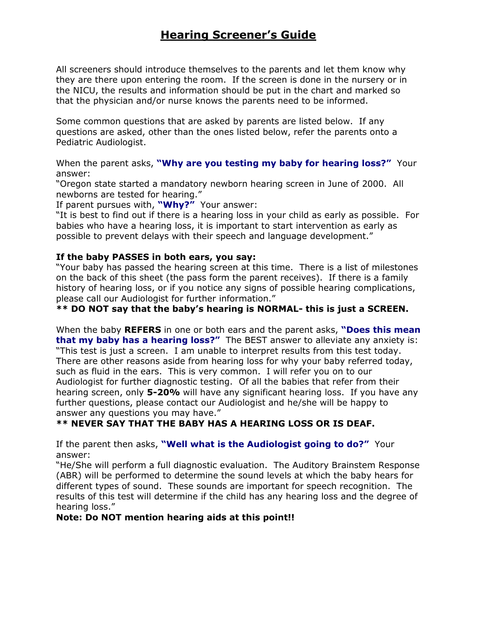# Hearing Screener's Guide

All screeners should introduce themselves to the parents and let them know why they are there upon entering the room. If the screen is done in the nursery or in the NICU, the results and information should be put in the chart and marked so that the physician and/or nurse knows the parents need to be informed.

Some common questions that are asked by parents are listed below. If any questions are asked, other than the ones listed below, refer the parents onto a Pediatric Audiologist.

When the parent asks, "Why are you testing my baby for hearing loss?" Your answer:

"Oregon state started a mandatory newborn hearing screen in June of 2000. All newborns are tested for hearing."

If parent pursues with, "Why?" Your answer:

"It is best to find out if there is a hearing loss in your child as early as possible. For babies who have a hearing loss, it is important to start intervention as early as possible to prevent delays with their speech and language development."

## If the baby PASSES in both ears, you say:

"Your baby has passed the hearing screen at this time. There is a list of milestones on the back of this sheet (the pass form the parent receives). If there is a family history of hearing loss, or if you notice any signs of possible hearing complications, please call our Audiologist for further information."

\*\* DO NOT say that the baby's hearing is NORMAL- this is just a SCREEN.

When the baby REFERS in one or both ears and the parent asks, "Does this mean that my baby has a hearing loss?" The BEST answer to alleviate any anxiety is: "This test is just a screen. I am unable to interpret results from this test today. There are other reasons aside from hearing loss for why your baby referred today, such as fluid in the ears. This is very common. I will refer you on to our Audiologist for further diagnostic testing. Of all the babies that refer from their hearing screen, only 5-20% will have any significant hearing loss. If you have any further questions, please contact our Audiologist and he/she will be happy to answer any questions you may have."

# \*\* NEVER SAY THAT THE BABY HAS A HEARING LOSS OR IS DEAF.

If the parent then asks, "Well what is the Audiologist going to do?" Your answer:

"He/She will perform a full diagnostic evaluation. The Auditory Brainstem Response (ABR) will be performed to determine the sound levels at which the baby hears for different types of sound. These sounds are important for speech recognition. The results of this test will determine if the child has any hearing loss and the degree of hearing loss."

# Note: Do NOT mention hearing aids at this point!!